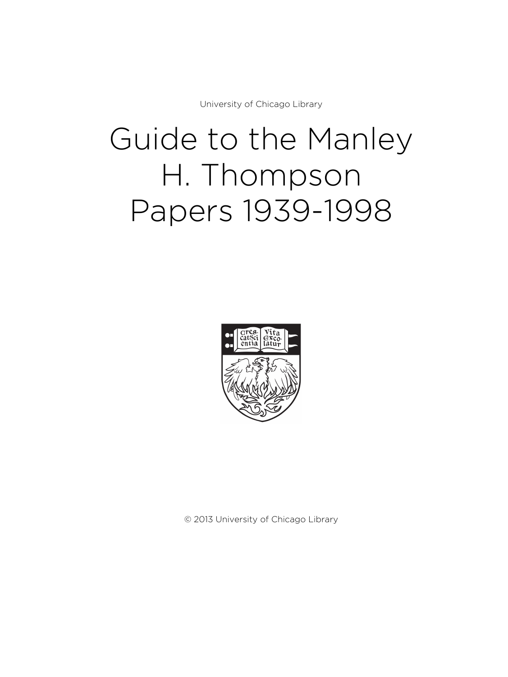University of Chicago Library

# Guide to the Manley H. Thompson Papers 1939-1998



© 2013 University of Chicago Library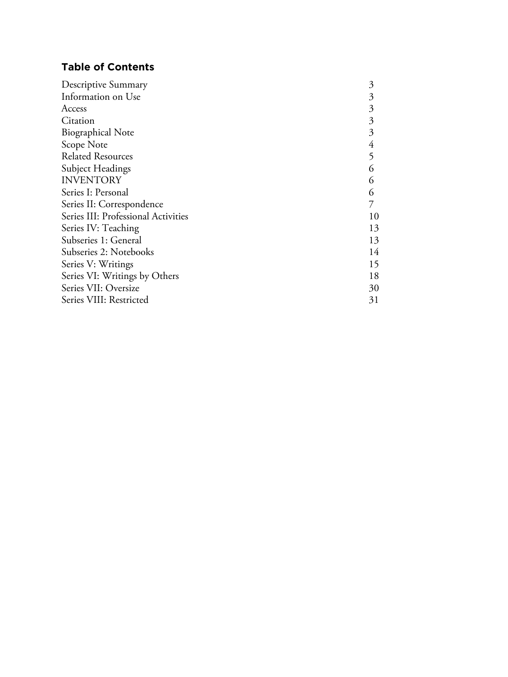# **Table of Contents**

| Descriptive Summary                 | 3  |
|-------------------------------------|----|
| Information on Use                  | 3  |
| Access                              | 3  |
| Citation                            | 3  |
| <b>Biographical Note</b>            | 3  |
| Scope Note                          | 4  |
| <b>Related Resources</b>            | 5  |
| Subject Headings                    | 6  |
| <b>INVENTORY</b>                    | 6  |
| Series I: Personal                  | 6  |
| Series II: Correspondence           |    |
| Series III: Professional Activities | 10 |
| Series IV: Teaching                 | 13 |
| Subseries 1: General                | 13 |
| Subseries 2: Notebooks              | 14 |
| Series V: Writings                  | 15 |
| Series VI: Writings by Others       | 18 |
| Series VII: Oversize                | 30 |
| Series VIII: Restricted             | 31 |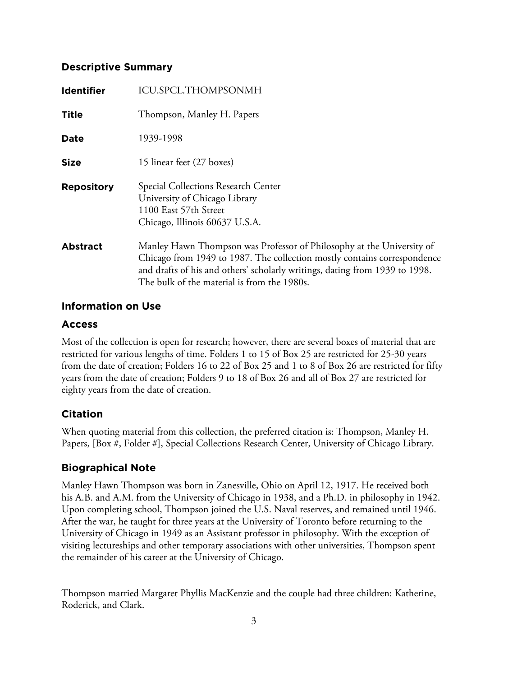# **Descriptive Summary**

| <b>Identifier</b> | ICU.SPCL.THOMPSONMH                                                                                                                                                                                                                                                             |
|-------------------|---------------------------------------------------------------------------------------------------------------------------------------------------------------------------------------------------------------------------------------------------------------------------------|
| <b>Title</b>      | Thompson, Manley H. Papers                                                                                                                                                                                                                                                      |
| <b>Date</b>       | 1939-1998                                                                                                                                                                                                                                                                       |
| <b>Size</b>       | 15 linear feet (27 boxes)                                                                                                                                                                                                                                                       |
| <b>Repository</b> | Special Collections Research Center<br>University of Chicago Library<br>1100 East 57th Street<br>Chicago, Illinois 60637 U.S.A.                                                                                                                                                 |
| <b>Abstract</b>   | Manley Hawn Thompson was Professor of Philosophy at the University of<br>Chicago from 1949 to 1987. The collection mostly contains correspondence<br>and drafts of his and others' scholarly writings, dating from 1939 to 1998.<br>The bulk of the material is from the 1980s. |

### **Information on Use**

# **Access**

Most of the collection is open for research; however, there are several boxes of material that are restricted for various lengths of time. Folders 1 to 15 of Box 25 are restricted for 25-30 years from the date of creation; Folders 16 to 22 of Box 25 and 1 to 8 of Box 26 are restricted for fifty years from the date of creation; Folders 9 to 18 of Box 26 and all of Box 27 are restricted for eighty years from the date of creation.

# **Citation**

When quoting material from this collection, the preferred citation is: Thompson, Manley H. Papers, [Box #, Folder #], Special Collections Research Center, University of Chicago Library.

# **Biographical Note**

Manley Hawn Thompson was born in Zanesville, Ohio on April 12, 1917. He received both his A.B. and A.M. from the University of Chicago in 1938, and a Ph.D. in philosophy in 1942. Upon completing school, Thompson joined the U.S. Naval reserves, and remained until 1946. After the war, he taught for three years at the University of Toronto before returning to the University of Chicago in 1949 as an Assistant professor in philosophy. With the exception of visiting lectureships and other temporary associations with other universities, Thompson spent the remainder of his career at the University of Chicago.

Thompson married Margaret Phyllis MacKenzie and the couple had three children: Katherine, Roderick, and Clark.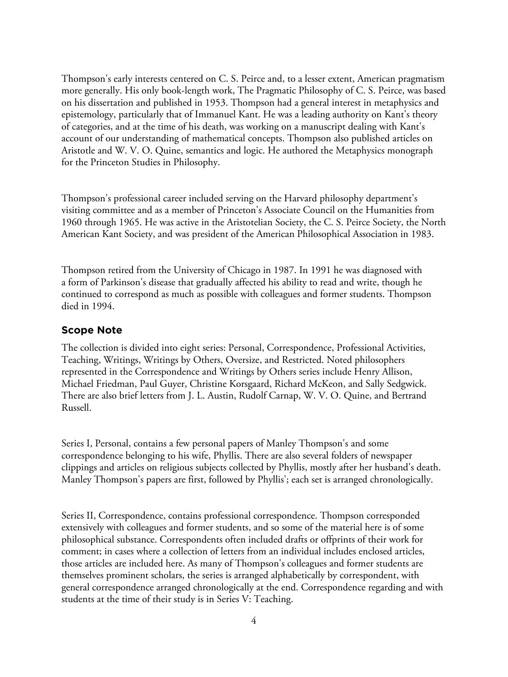Thompson's early interests centered on C. S. Peirce and, to a lesser extent, American pragmatism more generally. His only book-length work, The Pragmatic Philosophy of C. S. Peirce, was based on his dissertation and published in 1953. Thompson had a general interest in metaphysics and epistemology, particularly that of Immanuel Kant. He was a leading authority on Kant's theory of categories, and at the time of his death, was working on a manuscript dealing with Kant's account of our understanding of mathematical concepts. Thompson also published articles on Aristotle and W. V. O. Quine, semantics and logic. He authored the Metaphysics monograph for the Princeton Studies in Philosophy.

Thompson's professional career included serving on the Harvard philosophy department's visiting committee and as a member of Princeton's Associate Council on the Humanities from 1960 through 1965. He was active in the Aristotelian Society, the C. S. Peirce Society, the North American Kant Society, and was president of the American Philosophical Association in 1983.

Thompson retired from the University of Chicago in 1987. In 1991 he was diagnosed with a form of Parkinson's disease that gradually affected his ability to read and write, though he continued to correspond as much as possible with colleagues and former students. Thompson died in 1994.

#### **Scope Note**

The collection is divided into eight series: Personal, Correspondence, Professional Activities, Teaching, Writings, Writings by Others, Oversize, and Restricted. Noted philosophers represented in the Correspondence and Writings by Others series include Henry Allison, Michael Friedman, Paul Guyer, Christine Korsgaard, Richard McKeon, and Sally Sedgwick. There are also brief letters from J. L. Austin, Rudolf Carnap, W. V. O. Quine, and Bertrand Russell.

Series I, Personal, contains a few personal papers of Manley Thompson's and some correspondence belonging to his wife, Phyllis. There are also several folders of newspaper clippings and articles on religious subjects collected by Phyllis, mostly after her husband's death. Manley Thompson's papers are first, followed by Phyllis'; each set is arranged chronologically.

Series II, Correspondence, contains professional correspondence. Thompson corresponded extensively with colleagues and former students, and so some of the material here is of some philosophical substance. Correspondents often included drafts or offprints of their work for comment; in cases where a collection of letters from an individual includes enclosed articles, those articles are included here. As many of Thompson's colleagues and former students are themselves prominent scholars, the series is arranged alphabetically by correspondent, with general correspondence arranged chronologically at the end. Correspondence regarding and with students at the time of their study is in Series V: Teaching.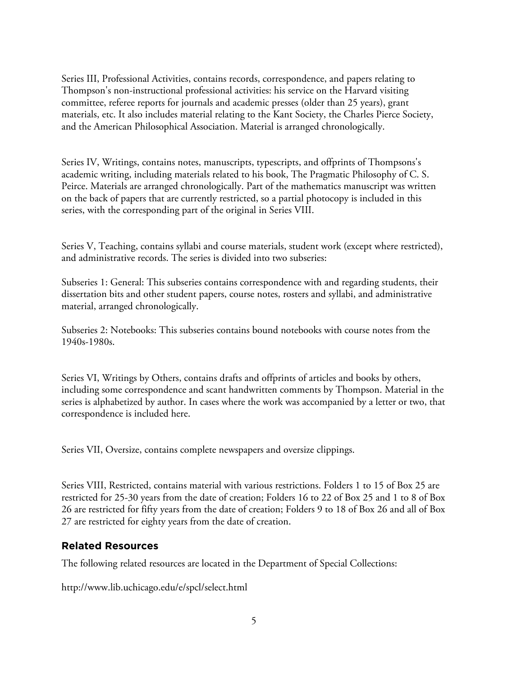Series III, Professional Activities, contains records, correspondence, and papers relating to Thompson's non-instructional professional activities: his service on the Harvard visiting committee, referee reports for journals and academic presses (older than 25 years), grant materials, etc. It also includes material relating to the Kant Society, the Charles Pierce Society, and the American Philosophical Association. Material is arranged chronologically.

Series IV, Writings, contains notes, manuscripts, typescripts, and offprints of Thompsons's academic writing, including materials related to his book, The Pragmatic Philosophy of C. S. Peirce. Materials are arranged chronologically. Part of the mathematics manuscript was written on the back of papers that are currently restricted, so a partial photocopy is included in this series, with the corresponding part of the original in Series VIII.

Series V, Teaching, contains syllabi and course materials, student work (except where restricted), and administrative records. The series is divided into two subseries:

Subseries 1: General: This subseries contains correspondence with and regarding students, their dissertation bits and other student papers, course notes, rosters and syllabi, and administrative material, arranged chronologically.

Subseries 2: Notebooks: This subseries contains bound notebooks with course notes from the 1940s-1980s.

Series VI, Writings by Others, contains drafts and offprints of articles and books by others, including some correspondence and scant handwritten comments by Thompson. Material in the series is alphabetized by author. In cases where the work was accompanied by a letter or two, that correspondence is included here.

Series VII, Oversize, contains complete newspapers and oversize clippings.

Series VIII, Restricted, contains material with various restrictions. Folders 1 to 15 of Box 25 are restricted for 25-30 years from the date of creation; Folders 16 to 22 of Box 25 and 1 to 8 of Box 26 are restricted for fifty years from the date of creation; Folders 9 to 18 of Box 26 and all of Box 27 are restricted for eighty years from the date of creation.

### **Related Resources**

The following related resources are located in the Department of Special Collections:

http://www.lib.uchicago.edu/e/spcl/select.html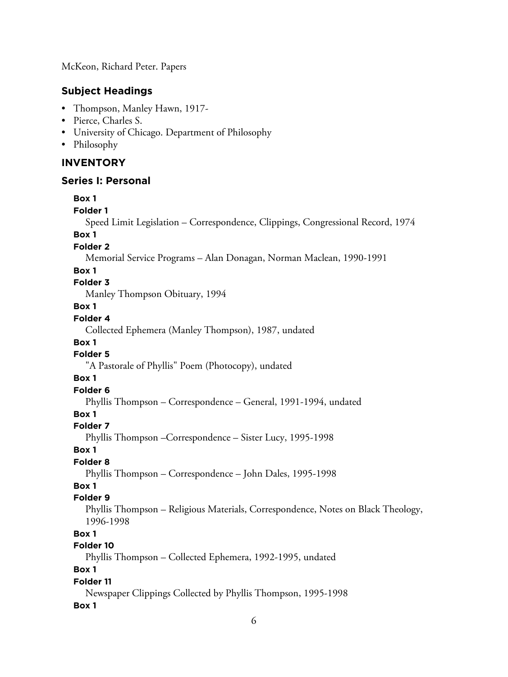McKeon, Richard Peter. Papers

# **Subject Headings**

- Thompson, Manley Hawn, 1917-
- Pierce, Charles S.
- University of Chicago. Department of Philosophy
- Philosophy

### **INVENTORY**

#### **Series I: Personal**

### **Box 1 Folder 1** Speed Limit Legislation – Correspondence, Clippings, Congressional Record, 1974 **Box 1 Folder 2** Memorial Service Programs – Alan Donagan, Norman Maclean, 1990-1991 **Box 1 Folder 3** Manley Thompson Obituary, 1994 **Box 1 Folder 4** Collected Ephemera (Manley Thompson), 1987, undated **Box 1 Folder 5** "A Pastorale of Phyllis" Poem (Photocopy), undated **Box 1 Folder 6** Phyllis Thompson – Correspondence – General, 1991-1994, undated **Box 1 Folder 7** Phyllis Thompson –Correspondence – Sister Lucy, 1995-1998 **Box 1 Folder 8** Phyllis Thompson – Correspondence – John Dales, 1995-1998 **Box 1 Folder 9** Phyllis Thompson – Religious Materials, Correspondence, Notes on Black Theology, 1996-1998 **Box 1 Folder 10** Phyllis Thompson – Collected Ephemera, 1992-1995, undated **Box 1 Folder 11** Newspaper Clippings Collected by Phyllis Thompson, 1995-1998 **Box 1**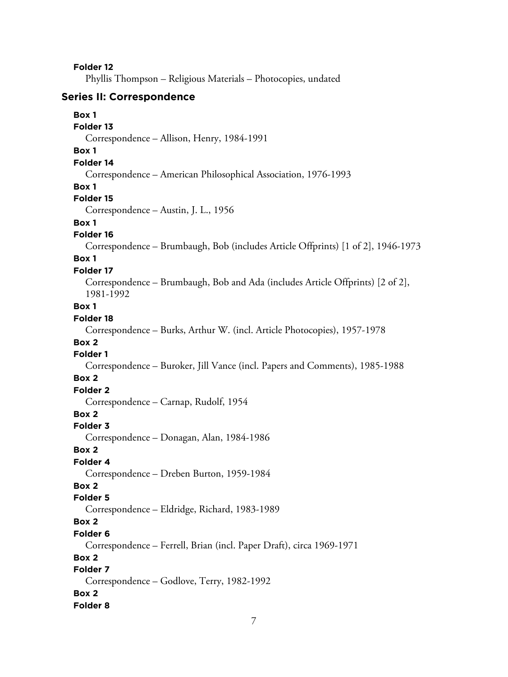Phyllis Thompson – Religious Materials – Photocopies, undated

#### **Series II: Correspondence**

# **Box 1 Folder 13** Correspondence – Allison, Henry, 1984-1991 **Box 1 Folder 14** Correspondence – American Philosophical Association, 1976-1993 **Box 1 Folder 15** Correspondence – Austin, J. L., 1956 **Box 1 Folder 16** Correspondence – Brumbaugh, Bob (includes Article Offprints) [1 of 2], 1946-1973 **Box 1 Folder 17** Correspondence – Brumbaugh, Bob and Ada (includes Article Offprints) [2 of 2], 1981-1992 **Box 1 Folder 18** Correspondence – Burks, Arthur W. (incl. Article Photocopies), 1957-1978 **Box 2 Folder 1** Correspondence – Buroker, Jill Vance (incl. Papers and Comments), 1985-1988 **Box 2 Folder 2** Correspondence – Carnap, Rudolf, 1954 **Box 2 Folder 3** Correspondence – Donagan, Alan, 1984-1986 **Box 2 Folder 4** Correspondence – Dreben Burton, 1959-1984 **Box 2 Folder 5** Correspondence – Eldridge, Richard, 1983-1989 **Box 2 Folder 6** Correspondence – Ferrell, Brian (incl. Paper Draft), circa 1969-1971 **Box 2 Folder 7** Correspondence – Godlove, Terry, 1982-1992 **Box 2 Folder 8**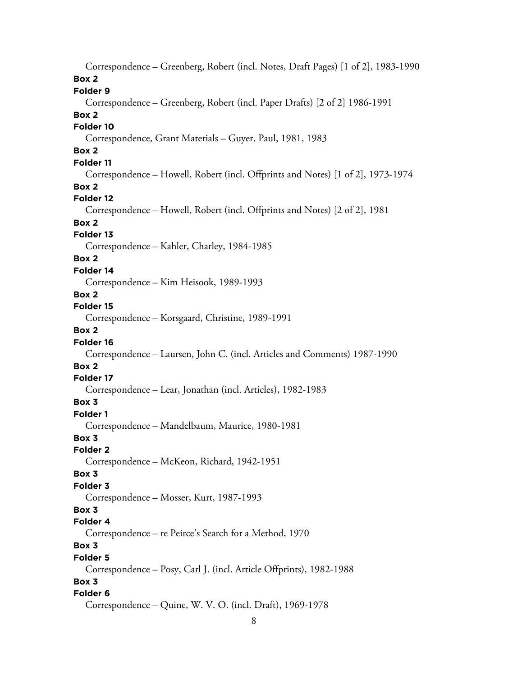Correspondence – Greenberg, Robert (incl. Notes, Draft Pages) [1 of 2], 1983-1990 **Box 2 Folder 9** Correspondence – Greenberg, Robert (incl. Paper Drafts) [2 of 2] 1986-1991 **Box 2 Folder 10** Correspondence, Grant Materials – Guyer, Paul, 1981, 1983 **Box 2 Folder 11** Correspondence – Howell, Robert (incl. Offprints and Notes) [1 of 2], 1973-1974 **Box 2 Folder 12** Correspondence – Howell, Robert (incl. Offprints and Notes) [2 of 2], 1981 **Box 2 Folder 13** Correspondence – Kahler, Charley, 1984-1985 **Box 2 Folder 14** Correspondence – Kim Heisook, 1989-1993 **Box 2 Folder 15** Correspondence – Korsgaard, Christine, 1989-1991 **Box 2 Folder 16** Correspondence – Laursen, John C. (incl. Articles and Comments) 1987-1990 **Box 2 Folder 17** Correspondence – Lear, Jonathan (incl. Articles), 1982-1983 **Box 3 Folder 1** Correspondence – Mandelbaum, Maurice, 1980-1981 **Box 3 Folder 2** Correspondence – McKeon, Richard, 1942-1951 **Box 3 Folder 3** Correspondence – Mosser, Kurt, 1987-1993 **Box 3 Folder 4** Correspondence – re Peirce's Search for a Method, 1970 **Box 3 Folder 5** Correspondence – Posy, Carl J. (incl. Article Offprints), 1982-1988 **Box 3 Folder 6** Correspondence – Quine, W. V. O. (incl. Draft), 1969-1978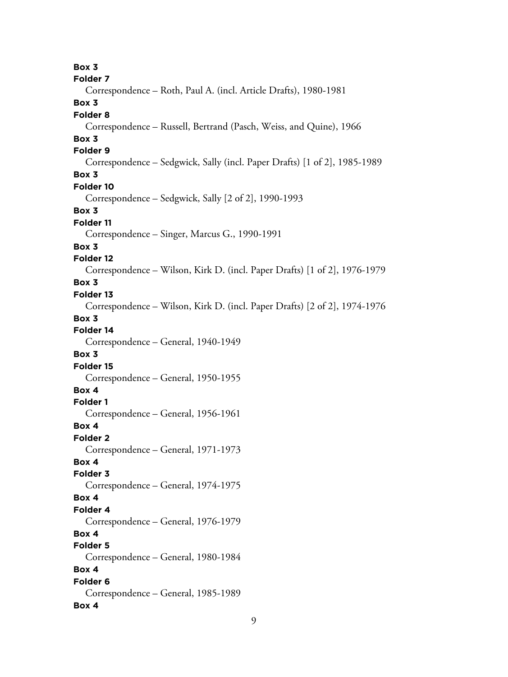**Box 3 Folder 7** Correspondence – Roth, Paul A. (incl. Article Drafts), 1980-1981 **Box 3 Folder 8** Correspondence – Russell, Bertrand (Pasch, Weiss, and Quine), 1966 **Box 3 Folder 9** Correspondence – Sedgwick, Sally (incl. Paper Drafts) [1 of 2], 1985-1989 **Box 3 Folder 10** Correspondence – Sedgwick, Sally [2 of 2], 1990-1993 **Box 3 Folder 11** Correspondence – Singer, Marcus G., 1990-1991 **Box 3 Folder 12** Correspondence – Wilson, Kirk D. (incl. Paper Drafts) [1 of 2], 1976-1979 **Box 3 Folder 13** Correspondence – Wilson, Kirk D. (incl. Paper Drafts) [2 of 2], 1974-1976 **Box 3 Folder 14** Correspondence – General, 1940-1949 **Box 3 Folder 15** Correspondence – General, 1950-1955 **Box 4 Folder 1** Correspondence – General, 1956-1961 **Box 4 Folder 2** Correspondence – General, 1971-1973 **Box 4 Folder 3** Correspondence – General, 1974-1975 **Box 4 Folder 4** Correspondence – General, 1976-1979 **Box 4 Folder 5** Correspondence – General, 1980-1984 **Box 4 Folder 6** Correspondence – General, 1985-1989 **Box 4**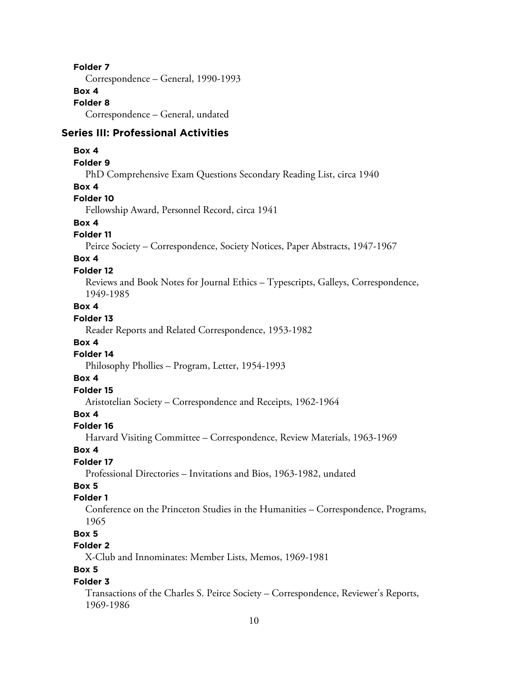Correspondence – General, 1990-1993

### **Box 4**

**Folder 8**

Correspondence – General, undated

#### **Series III: Professional Activities**

#### **Box 4**

#### **Folder 9**

PhD Comprehensive Exam Questions Secondary Reading List, circa 1940

#### **Box 4**

#### **Folder 10**

Fellowship Award, Personnel Record, circa 1941

#### **Box 4**

#### **Folder 11**

Peirce Society – Correspondence, Society Notices, Paper Abstracts, 1947-1967

### **Box 4**

#### **Folder 12**

Reviews and Book Notes for Journal Ethics – Typescripts, Galleys, Correspondence, 1949-1985

### **Box 4**

### **Folder 13**

Reader Reports and Related Correspondence, 1953-1982

### **Box 4**

### **Folder 14**

Philosophy Phollies – Program, Letter, 1954-1993

### **Box 4**

# **Folder 15**

Aristotelian Society – Correspondence and Receipts, 1962-1964

### **Box 4**

#### **Folder 16**

Harvard Visiting Committee – Correspondence, Review Materials, 1963-1969

#### **Box 4**

#### **Folder 17**

Professional Directories – Invitations and Bios, 1963-1982, undated

# **Box 5**

### **Folder 1**

Conference on the Princeton Studies in the Humanities – Correspondence, Programs, 1965

# **Box 5**

# **Folder 2**

X-Club and Innominates: Member Lists, Memos, 1969-1981

# **Box 5**

### **Folder 3**

Transactions of the Charles S. Peirce Society – Correspondence, Reviewer's Reports, 1969-1986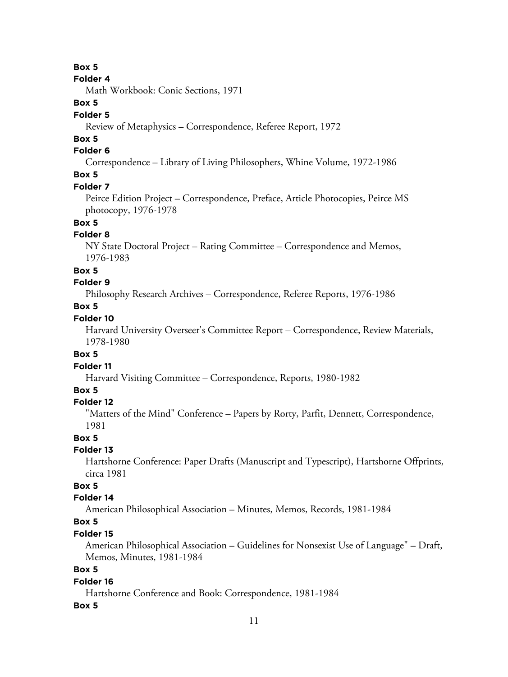#### **Folder 4**

Math Workbook: Conic Sections, 1971

# **Box 5**

### **Folder 5**

Review of Metaphysics – Correspondence, Referee Report, 1972

### **Box 5**

### **Folder 6**

Correspondence – Library of Living Philosophers, Whine Volume, 1972-1986

# **Box 5**

#### **Folder 7**

Peirce Edition Project – Correspondence, Preface, Article Photocopies, Peirce MS photocopy, 1976-1978

# **Box 5**

### **Folder 8**

NY State Doctoral Project – Rating Committee – Correspondence and Memos, 1976-1983

#### **Box 5**

#### **Folder 9**

Philosophy Research Archives – Correspondence, Referee Reports, 1976-1986

### **Box 5**

### **Folder 10**

Harvard University Overseer's Committee Report – Correspondence, Review Materials, 1978-1980

#### **Box 5**

**Folder 11**

Harvard Visiting Committee – Correspondence, Reports, 1980-1982

### **Box 5**

#### **Folder 12**

"Matters of the Mind" Conference – Papers by Rorty, Parfit, Dennett, Correspondence, 1981

#### **Box 5**

#### **Folder 13**

Hartshorne Conference: Paper Drafts (Manuscript and Typescript), Hartshorne Offprints, circa 1981

### **Box 5**

### **Folder 14**

American Philosophical Association – Minutes, Memos, Records, 1981-1984

### **Box 5**

#### **Folder 15**

American Philosophical Association – Guidelines for Nonsexist Use of Language" – Draft, Memos, Minutes, 1981-1984

### **Box 5**

#### **Folder 16**

Hartshorne Conference and Book: Correspondence, 1981-1984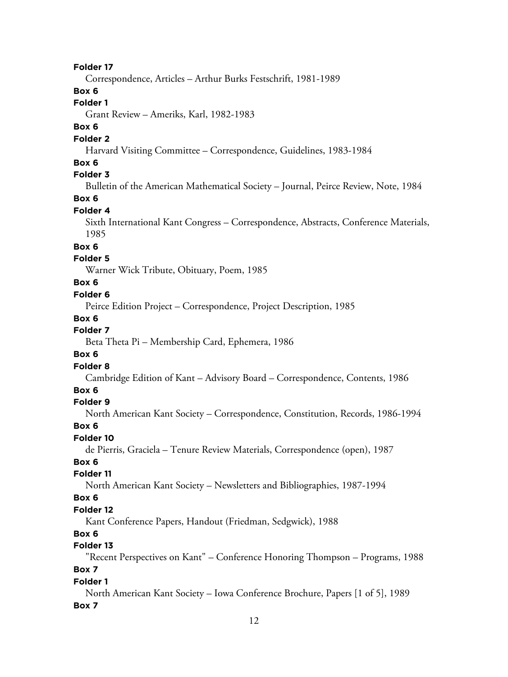Correspondence, Articles – Arthur Burks Festschrift, 1981-1989

### **Box 6**

#### **Folder 1**

Grant Review – Ameriks, Karl, 1982-1983

### **Box 6**

#### **Folder 2**

Harvard Visiting Committee – Correspondence, Guidelines, 1983-1984

#### **Box 6**

### **Folder 3**

Bulletin of the American Mathematical Society – Journal, Peirce Review, Note, 1984

### **Box 6**

### **Folder 4**

Sixth International Kant Congress – Correspondence, Abstracts, Conference Materials, 1985

### **Box 6**

#### **Folder 5**

Warner Wick Tribute, Obituary, Poem, 1985

#### **Box 6**

### **Folder 6**

Peirce Edition Project – Correspondence, Project Description, 1985

#### **Box 6**

# **Folder 7**

Beta Theta Pi – Membership Card, Ephemera, 1986

#### **Box 6**

#### **Folder 8**

Cambridge Edition of Kant – Advisory Board – Correspondence, Contents, 1986

### **Box 6**

#### **Folder 9**

North American Kant Society – Correspondence, Constitution, Records, 1986-1994

#### **Box 6**

### **Folder 10**

de Pierris, Graciela – Tenure Review Materials, Correspondence (open), 1987

### **Box 6**

### **Folder 11**

North American Kant Society – Newsletters and Bibliographies, 1987-1994

#### **Box 6**

#### **Folder 12**

Kant Conference Papers, Handout (Friedman, Sedgwick), 1988

### **Box 6**

#### **Folder 13**

"Recent Perspectives on Kant" – Conference Honoring Thompson – Programs, 1988

# **Box 7**

### **Folder 1**

North American Kant Society – Iowa Conference Brochure, Papers [1 of 5], 1989 **Box 7**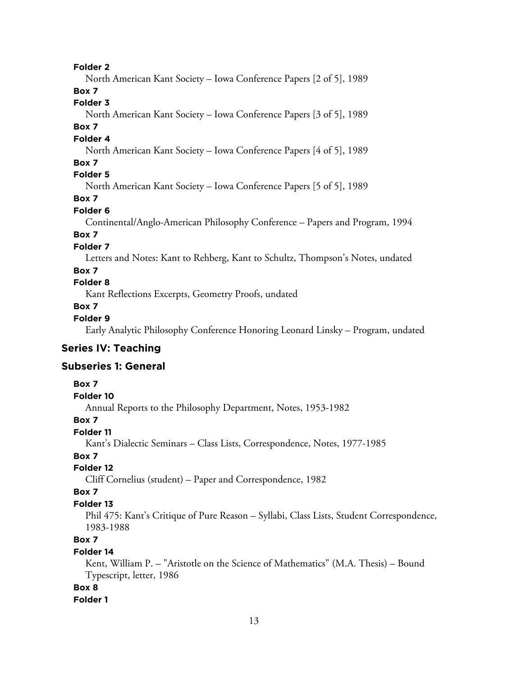North American Kant Society – Iowa Conference Papers [2 of 5], 1989

### **Box 7**

# **Folder 3**

North American Kant Society – Iowa Conference Papers [3 of 5], 1989

#### **Box 7**

#### **Folder 4**

North American Kant Society – Iowa Conference Papers [4 of 5], 1989

### **Box 7**

### **Folder 5**

North American Kant Society – Iowa Conference Papers [5 of 5], 1989

### **Box 7**

### **Folder 6**

Continental/Anglo-American Philosophy Conference – Papers and Program, 1994

# **Box 7**

### **Folder 7**

Letters and Notes: Kant to Rehberg, Kant to Schultz, Thompson's Notes, undated

### **Box 7**

# **Folder 8**

Kant Reflections Excerpts, Geometry Proofs, undated

### **Box 7**

### **Folder 9**

Early Analytic Philosophy Conference Honoring Leonard Linsky – Program, undated

### **Series IV: Teaching**

### **Subseries 1: General**

#### **Box 7**

#### **Folder 10**

Annual Reports to the Philosophy Department, Notes, 1953-1982

### **Box 7**

### **Folder 11**

Kant's Dialectic Seminars – Class Lists, Correspondence, Notes, 1977-1985

# **Box 7**

### **Folder 12**

Cliff Cornelius (student) – Paper and Correspondence, 1982

### **Box 7**

### **Folder 13**

Phil 475: Kant's Critique of Pure Reason – Syllabi, Class Lists, Student Correspondence, 1983-1988

### **Box 7**

#### **Folder 14**

Kent, William P. – "Aristotle on the Science of Mathematics" (M.A. Thesis) – Bound Typescript, letter, 1986

### **Box 8**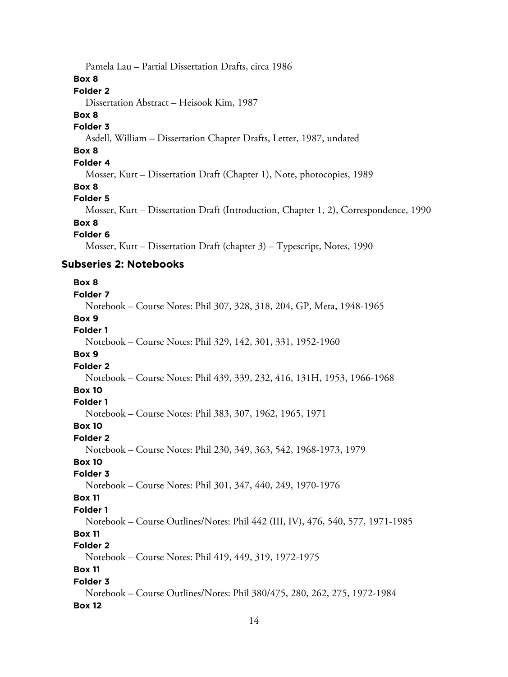Pamela Lau – Partial Dissertation Drafts, circa 1986

**Box 8**

### **Folder 2**

Dissertation Abstract – Heisook Kim, 1987

#### **Box 8**

#### **Folder 3**

Asdell, William – Dissertation Chapter Drafts, Letter, 1987, undated

### **Box 8**

### **Folder 4**

Mosser, Kurt – Dissertation Draft (Chapter 1), Note, photocopies, 1989

#### **Box 8**

#### **Folder 5**

Mosser, Kurt – Dissertation Draft (Introduction, Chapter 1, 2), Correspondence, 1990

### **Box 8**

#### **Folder 6**

Mosser, Kurt – Dissertation Draft (chapter 3) – Typescript, Notes, 1990

### **Subseries 2: Notebooks**

#### **Box 8 Folder 7**

### Notebook – Course Notes: Phil 307, 328, 318, 204, GP, Meta, 1948-1965 **Box 9 Folder 1** Notebook – Course Notes: Phil 329, 142, 301, 331, 1952-1960 **Box 9 Folder 2** Notebook – Course Notes: Phil 439, 339, 232, 416, 131H, 1953, 1966-1968 **Box 10 Folder 1** Notebook – Course Notes: Phil 383, 307, 1962, 1965, 1971 **Box 10 Folder 2** Notebook – Course Notes: Phil 230, 349, 363, 542, 1968-1973, 1979 **Box 10 Folder 3** Notebook – Course Notes: Phil 301, 347, 440, 249, 1970-1976 **Box 11 Folder 1** Notebook – Course Outlines/Notes: Phil 442 (III, IV), 476, 540, 577, 1971-1985 **Box 11 Folder 2** Notebook – Course Notes: Phil 419, 449, 319, 1972-1975 **Box 11 Folder 3**

Notebook – Course Outlines/Notes: Phil 380/475, 280, 262, 275, 1972-1984 **Box 12**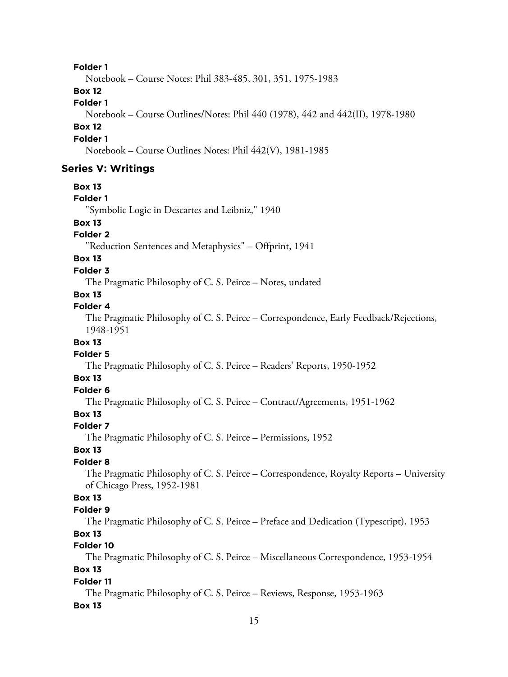Notebook – Course Notes: Phil 383-485, 301, 351, 1975-1983

### **Box 12**

**Folder 1**

Notebook – Course Outlines/Notes: Phil 440 (1978), 442 and 442(II), 1978-1980

### **Box 12**

#### **Folder 1**

Notebook – Course Outlines Notes: Phil 442(V), 1981-1985

### **Series V: Writings**

#### **Box 13**

### **Folder 1**

"Symbolic Logic in Descartes and Leibniz," 1940

#### **Box 13**

#### **Folder 2**

"Reduction Sentences and Metaphysics" – Offprint, 1941

### **Box 13**

#### **Folder 3**

The Pragmatic Philosophy of C. S. Peirce – Notes, undated

# **Box 13**

### **Folder 4**

The Pragmatic Philosophy of C. S. Peirce – Correspondence, Early Feedback/Rejections, 1948-1951

#### **Box 13**

#### **Folder 5**

The Pragmatic Philosophy of C. S. Peirce – Readers' Reports, 1950-1952

### **Box 13**

# **Folder 6**

The Pragmatic Philosophy of C. S. Peirce – Contract/Agreements, 1951-1962

### **Box 13**

### **Folder 7**

The Pragmatic Philosophy of C. S. Peirce – Permissions, 1952

#### **Box 13**

### **Folder 8**

The Pragmatic Philosophy of C. S. Peirce – Correspondence, Royalty Reports – University of Chicago Press, 1952-1981

### **Box 13**

#### **Folder 9**

The Pragmatic Philosophy of C. S. Peirce – Preface and Dedication (Typescript), 1953

### **Box 13**

### **Folder 10**

The Pragmatic Philosophy of C. S. Peirce – Miscellaneous Correspondence, 1953-1954

# **Box 13**

### **Folder 11**

The Pragmatic Philosophy of C. S. Peirce – Reviews, Response, 1953-1963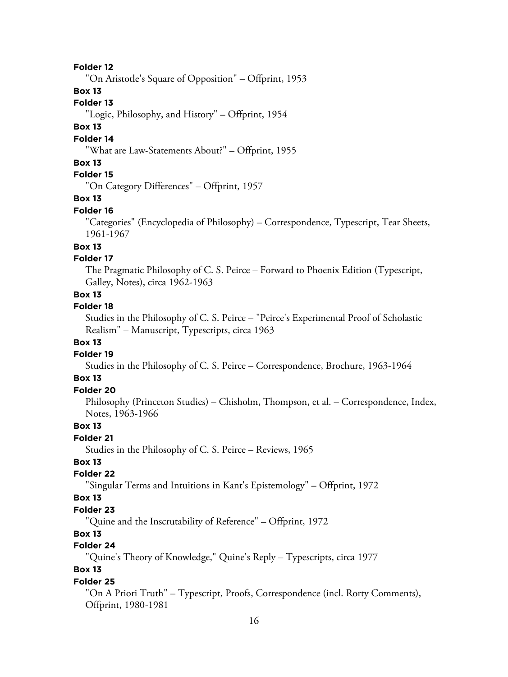"On Aristotle's Square of Opposition" – Offprint, 1953

### **Box 13**

#### **Folder 13**

"Logic, Philosophy, and History" – Offprint, 1954

#### **Box 13**

### **Folder 14**

"What are Law-Statements About?" – Offprint, 1955

### **Box 13**

### **Folder 15**

"On Category Differences" – Offprint, 1957

#### **Box 13**

#### **Folder 16**

"Categories" (Encyclopedia of Philosophy) – Correspondence, Typescript, Tear Sheets, 1961-1967

### **Box 13**

### **Folder 17**

The Pragmatic Philosophy of C. S. Peirce – Forward to Phoenix Edition (Typescript, Galley, Notes), circa 1962-1963

### **Box 13**

### **Folder 18**

Studies in the Philosophy of C. S. Peirce – "Peirce's Experimental Proof of Scholastic Realism" – Manuscript, Typescripts, circa 1963

### **Box 13**

#### **Folder 19**

Studies in the Philosophy of C. S. Peirce – Correspondence, Brochure, 1963-1964

### **Box 13**

### **Folder 20**

Philosophy (Princeton Studies) – Chisholm, Thompson, et al. – Correspondence, Index, Notes, 1963-1966

### **Box 13**

### **Folder 21**

Studies in the Philosophy of C. S. Peirce – Reviews, 1965

### **Box 13**

### **Folder 22**

"Singular Terms and Intuitions in Kant's Epistemology" – Offprint, 1972

#### **Box 13**

#### **Folder 23**

"Quine and the Inscrutability of Reference" – Offprint, 1972

#### **Box 13**

#### **Folder 24**

"Quine's Theory of Knowledge," Quine's Reply – Typescripts, circa 1977

### **Box 13**

#### **Folder 25**

"On A Priori Truth" – Typescript, Proofs, Correspondence (incl. Rorty Comments), Offprint, 1980-1981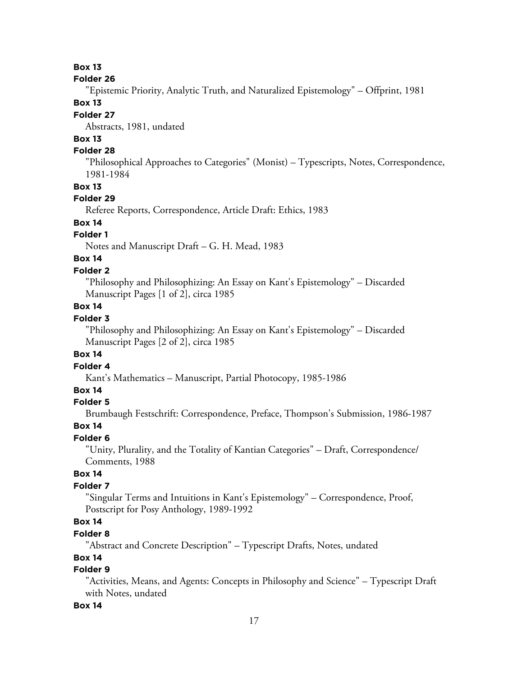#### **Folder 26**

"Epistemic Priority, Analytic Truth, and Naturalized Epistemology" – Offprint, 1981

### **Box 13**

### **Folder 27**

Abstracts, 1981, undated

# **Box 13**

### **Folder 28**

"Philosophical Approaches to Categories" (Monist) – Typescripts, Notes, Correspondence, 1981-1984

#### **Box 13**

### **Folder 29**

Referee Reports, Correspondence, Article Draft: Ethics, 1983

# **Box 14**

### **Folder 1**

Notes and Manuscript Draft – G. H. Mead, 1983

# **Box 14**

#### **Folder 2**

"Philosophy and Philosophizing: An Essay on Kant's Epistemology" – Discarded Manuscript Pages [1 of 2], circa 1985

### **Box 14**

### **Folder 3**

"Philosophy and Philosophizing: An Essay on Kant's Epistemology" – Discarded Manuscript Pages [2 of 2], circa 1985

### **Box 14**

**Folder 4**

Kant's Mathematics – Manuscript, Partial Photocopy, 1985-1986

### **Box 14**

### **Folder 5**

Brumbaugh Festschrift: Correspondence, Preface, Thompson's Submission, 1986-1987

#### **Box 14**

### **Folder 6**

"Unity, Plurality, and the Totality of Kantian Categories" – Draft, Correspondence/ Comments, 1988

### **Box 14**

### **Folder 7**

"Singular Terms and Intuitions in Kant's Epistemology" – Correspondence, Proof, Postscript for Posy Anthology, 1989-1992

# **Box 14**

### **Folder 8**

"Abstract and Concrete Description" – Typescript Drafts, Notes, undated

### **Box 14**

### **Folder 9**

"Activities, Means, and Agents: Concepts in Philosophy and Science" – Typescript Draft with Notes, undated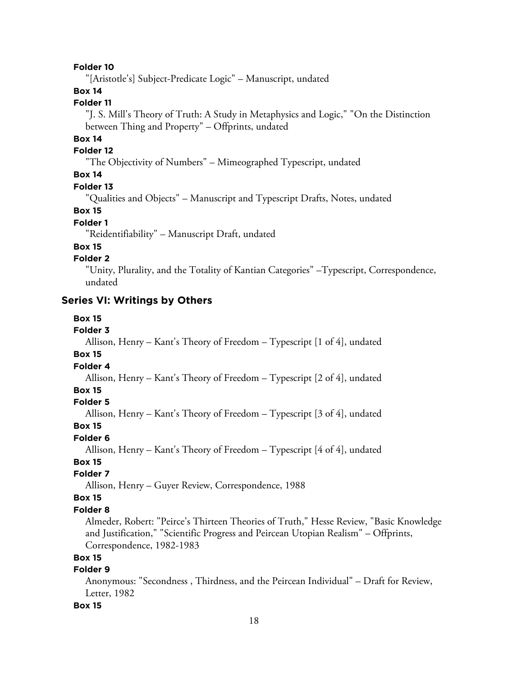"[Aristotle's] Subject-Predicate Logic" – Manuscript, undated

### **Box 14**

### **Folder 11**

"J. S. Mill's Theory of Truth: A Study in Metaphysics and Logic," "On the Distinction between Thing and Property" – Offprints, undated

### **Box 14**

#### **Folder 12**

"The Objectivity of Numbers" – Mimeographed Typescript, undated

### **Box 14**

#### **Folder 13**

"Qualities and Objects" – Manuscript and Typescript Drafts, Notes, undated

#### **Box 15**

#### **Folder 1**

"Reidentifiability" – Manuscript Draft, undated

#### **Box 15**

### **Folder 2**

"Unity, Plurality, and the Totality of Kantian Categories" –Typescript, Correspondence, undated

### **Series VI: Writings by Others**

#### **Box 15**

### **Folder 3**

Allison, Henry – Kant's Theory of Freedom – Typescript [1 of 4], undated

#### **Box 15**

### **Folder 4**

Allison, Henry – Kant's Theory of Freedom – Typescript [2 of 4], undated

# **Box 15**

### **Folder 5**

Allison, Henry – Kant's Theory of Freedom – Typescript [3 of 4], undated

### **Box 15**

#### **Folder 6**

Allison, Henry – Kant's Theory of Freedom – Typescript [4 of 4], undated

### **Box 15**

### **Folder 7**

Allison, Henry – Guyer Review, Correspondence, 1988

### **Box 15**

#### **Folder 8**

Almeder, Robert: "Peirce's Thirteen Theories of Truth," Hesse Review, "Basic Knowledge and Justification," "Scientific Progress and Peircean Utopian Realism" – Offprints, Correspondence, 1982-1983

### **Box 15**

### **Folder 9**

Anonymous: "Secondness , Thirdness, and the Peircean Individual" – Draft for Review, Letter, 1982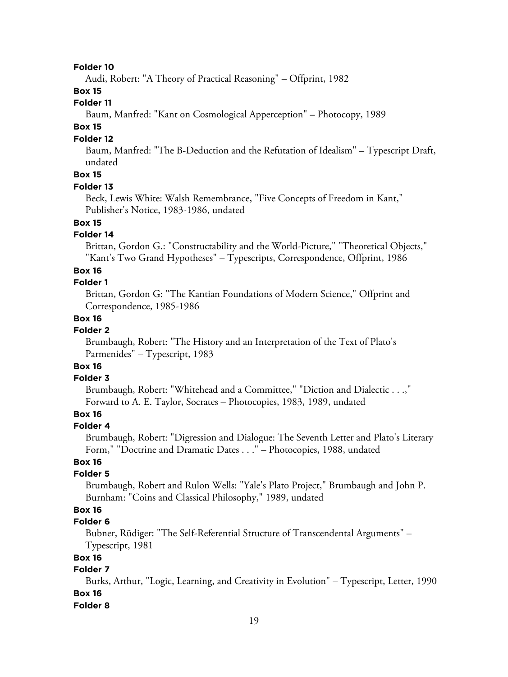Audi, Robert: "A Theory of Practical Reasoning" – Offprint, 1982

### **Box 15**

#### **Folder 11**

Baum, Manfred: "Kant on Cosmological Apperception" – Photocopy, 1989

#### **Box 15**

#### **Folder 12**

Baum, Manfred: "The B-Deduction and the Refutation of Idealism" – Typescript Draft, undated

# **Box 15**

### **Folder 13**

Beck, Lewis White: Walsh Remembrance, "Five Concepts of Freedom in Kant," Publisher's Notice, 1983-1986, undated

### **Box 15**

#### **Folder 14**

Brittan, Gordon G.: "Constructability and the World-Picture," "Theoretical Objects," "Kant's Two Grand Hypotheses" – Typescripts, Correspondence, Offprint, 1986

#### **Box 16**

#### **Folder 1**

Brittan, Gordon G: "The Kantian Foundations of Modern Science," Offprint and Correspondence, 1985-1986

#### **Box 16**

#### **Folder 2**

Brumbaugh, Robert: "The History and an Interpretation of the Text of Plato's Parmenides" – Typescript, 1983

# **Box 16**

### **Folder 3**

Brumbaugh, Robert: "Whitehead and a Committee," "Diction and Dialectic . . .," Forward to A. E. Taylor, Socrates – Photocopies, 1983, 1989, undated

### **Box 16**

#### **Folder 4**

Brumbaugh, Robert: "Digression and Dialogue: The Seventh Letter and Plato's Literary Form," "Doctrine and Dramatic Dates . . ." – Photocopies, 1988, undated

### **Box 16**

### **Folder 5**

Brumbaugh, Robert and Rulon Wells: "Yale's Plato Project," Brumbaugh and John P. Burnham: "Coins and Classical Philosophy," 1989, undated

### **Box 16**

#### **Folder 6**

Bubner, Rüdiger: "The Self-Referential Structure of Transcendental Arguments" – Typescript, 1981

### **Box 16**

### **Folder 7**

Burks, Arthur, "Logic, Learning, and Creativity in Evolution" – Typescript, Letter, 1990 **Box 16**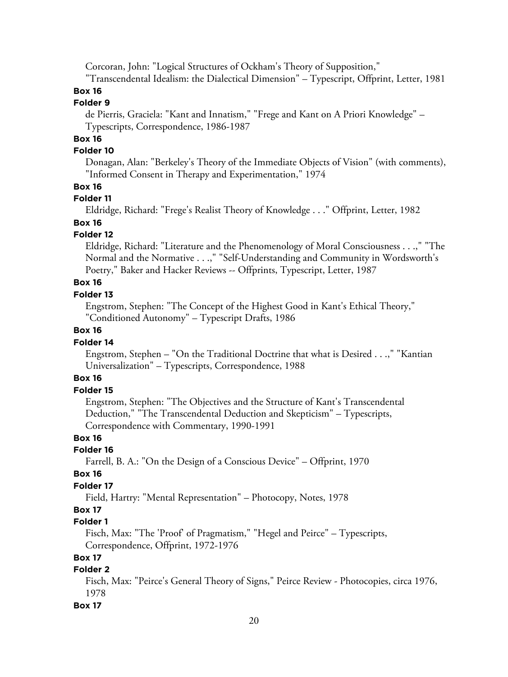Corcoran, John: "Logical Structures of Ockham's Theory of Supposition,"

"Transcendental Idealism: the Dialectical Dimension" – Typescript, Offprint, Letter, 1981

# **Box 16**

# **Folder 9**

de Pierris, Graciela: "Kant and Innatism," "Frege and Kant on A Priori Knowledge" – Typescripts, Correspondence, 1986-1987

### **Box 16**

#### **Folder 10**

Donagan, Alan: "Berkeley's Theory of the Immediate Objects of Vision" (with comments), "Informed Consent in Therapy and Experimentation," 1974

#### **Box 16**

#### **Folder 11**

Eldridge, Richard: "Frege's Realist Theory of Knowledge . . ." Offprint, Letter, 1982

#### **Box 16**

#### **Folder 12**

Eldridge, Richard: "Literature and the Phenomenology of Moral Consciousness . . .," "The Normal and the Normative . . .," "Self-Understanding and Community in Wordsworth's Poetry," Baker and Hacker Reviews -- Offprints, Typescript, Letter, 1987

# **Box 16**

### **Folder 13**

Engstrom, Stephen: "The Concept of the Highest Good in Kant's Ethical Theory," "Conditioned Autonomy" – Typescript Drafts, 1986

#### **Box 16**

#### **Folder 14**

Engstrom, Stephen – "On the Traditional Doctrine that what is Desired . . .," "Kantian Universalization" – Typescripts, Correspondence, 1988

#### **Box 16**

#### **Folder 15**

Engstrom, Stephen: "The Objectives and the Structure of Kant's Transcendental Deduction," "The Transcendental Deduction and Skepticism" – Typescripts, Correspondence with Commentary, 1990-1991

#### **Box 16**

### **Folder 16**

Farrell, B. A.: "On the Design of a Conscious Device" – Offprint, 1970

### **Box 16**

### **Folder 17**

Field, Hartry: "Mental Representation" – Photocopy, Notes, 1978

### **Box 17**

#### **Folder 1**

Fisch, Max: "The 'Proof' of Pragmatism," "Hegel and Peirce" – Typescripts, Correspondence, Offprint, 1972-1976

### **Box 17**

### **Folder 2**

Fisch, Max: "Peirce's General Theory of Signs," Peirce Review - Photocopies, circa 1976, 1978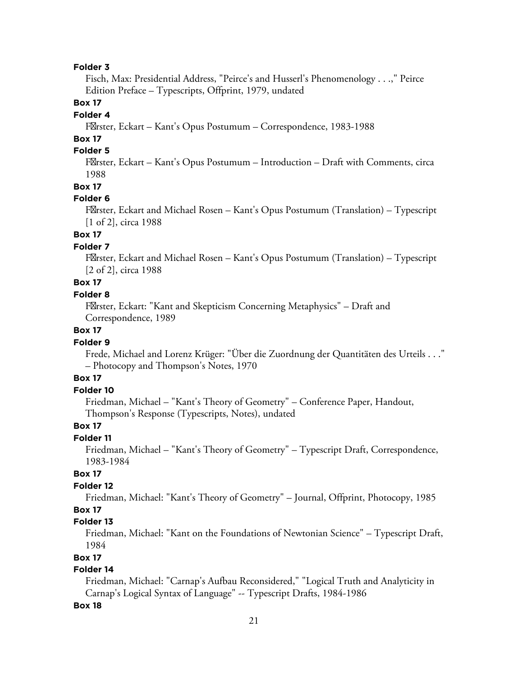Fisch, Max: Presidential Address, "Peirce's and Husserl's Phenomenology . . .," Peirce Edition Preface – Typescripts, Offprint, 1979, undated

### **Box 17**

### **Folder 4**

F⊠rster, Eckart – Kant's Opus Postumum – Correspondence, 1983-1988

### **Box 17**

### **Folder 5**

F $\mathbb{X}$ rster, Eckart – Kant's Opus Postumum – Introduction – Draft with Comments, circa 1988

#### **Box 17**

#### **Folder 6**

F $\mathbb Z$ rster, Eckart and Michael Rosen – Kant's Opus Postumum (Translation) – Typescript [1 of 2], circa 1988

### **Box 17**

### **Folder 7**

F $\mathbb Z$ rster, Eckart and Michael Rosen – Kant's Opus Postumum (Translation) – Typescript [2 of 2], circa 1988

### **Box 17**

#### **Folder 8**

FØrster, Eckart: "Kant and Skepticism Concerning Metaphysics" – Draft and Correspondence, 1989

### **Box 17**

#### **Folder 9**

Frede, Michael and Lorenz Krüger: "Über die Zuordnung der Quantitäten des Urteils . . ." – Photocopy and Thompson's Notes, 1970

#### **Box 17**

#### **Folder 10**

Friedman, Michael – "Kant's Theory of Geometry" – Conference Paper, Handout, Thompson's Response (Typescripts, Notes), undated

### **Box 17**

#### **Folder 11**

Friedman, Michael – "Kant's Theory of Geometry" – Typescript Draft, Correspondence, 1983-1984

### **Box 17**

#### **Folder 12**

Friedman, Michael: "Kant's Theory of Geometry" – Journal, Offprint, Photocopy, 1985

### **Box 17**

#### **Folder 13**

Friedman, Michael: "Kant on the Foundations of Newtonian Science" – Typescript Draft, 1984

#### **Box 17**

### **Folder 14**

Friedman, Michael: "Carnap's Aufbau Reconsidered," "Logical Truth and Analyticity in Carnap's Logical Syntax of Language" -- Typescript Drafts, 1984-1986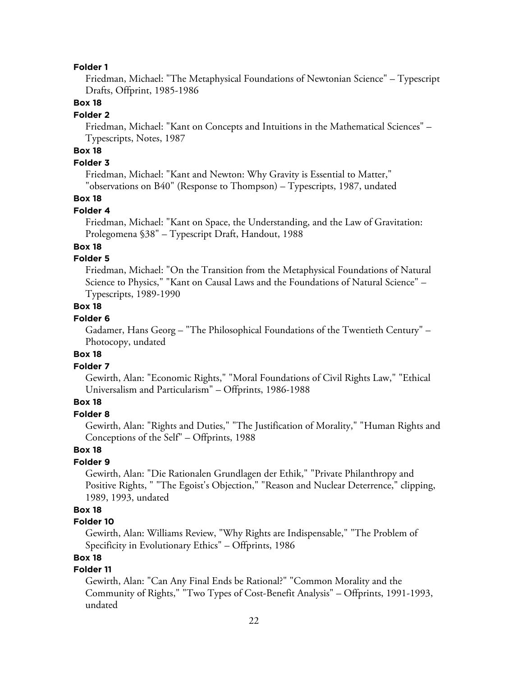Friedman, Michael: "The Metaphysical Foundations of Newtonian Science" – Typescript Drafts, Offprint, 1985-1986

#### **Box 18**

#### **Folder 2**

Friedman, Michael: "Kant on Concepts and Intuitions in the Mathematical Sciences" – Typescripts, Notes, 1987

# **Box 18**

### **Folder 3**

Friedman, Michael: "Kant and Newton: Why Gravity is Essential to Matter," "observations on B40" (Response to Thompson) – Typescripts, 1987, undated

### **Box 18**

#### **Folder 4**

Friedman, Michael: "Kant on Space, the Understanding, and the Law of Gravitation: Prolegomena §38" – Typescript Draft, Handout, 1988

#### **Box 18**

#### **Folder 5**

Friedman, Michael: "On the Transition from the Metaphysical Foundations of Natural Science to Physics," "Kant on Causal Laws and the Foundations of Natural Science" – Typescripts, 1989-1990

### **Box 18**

#### **Folder 6**

Gadamer, Hans Georg – "The Philosophical Foundations of the Twentieth Century" – Photocopy, undated

#### **Box 18**

#### **Folder 7**

Gewirth, Alan: "Economic Rights," "Moral Foundations of Civil Rights Law," "Ethical Universalism and Particularism" – Offprints, 1986-1988

### **Box 18**

#### **Folder 8**

Gewirth, Alan: "Rights and Duties," "The Justification of Morality," "Human Rights and Conceptions of the Self" – Offprints, 1988

#### **Box 18**

#### **Folder 9**

Gewirth, Alan: "Die Rationalen Grundlagen der Ethik," "Private Philanthropy and Positive Rights, " "The Egoist's Objection," "Reason and Nuclear Deterrence," clipping, 1989, 1993, undated

### **Box 18**

#### **Folder 10**

Gewirth, Alan: Williams Review, "Why Rights are Indispensable," "The Problem of Specificity in Evolutionary Ethics" – Offprints, 1986

#### **Box 18**

### **Folder 11**

Gewirth, Alan: "Can Any Final Ends be Rational?" "Common Morality and the Community of Rights," "Two Types of Cost-Benefit Analysis" – Offprints, 1991-1993, undated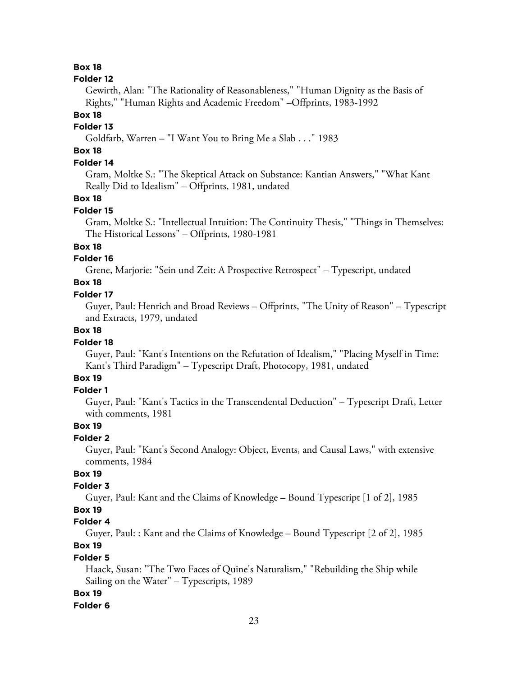#### **Folder 12**

Gewirth, Alan: "The Rationality of Reasonableness," "Human Dignity as the Basis of Rights," "Human Rights and Academic Freedom" –Offprints, 1983-1992

#### **Box 18**

#### **Folder 13**

Goldfarb, Warren – "I Want You to Bring Me a Slab . . ." 1983

### **Box 18**

### **Folder 14**

Gram, Moltke S.: "The Skeptical Attack on Substance: Kantian Answers," "What Kant Really Did to Idealism" – Offprints, 1981, undated

#### **Box 18**

#### **Folder 15**

Gram, Moltke S.: "Intellectual Intuition: The Continuity Thesis," "Things in Themselves: The Historical Lessons" – Offprints, 1980-1981

#### **Box 18**

#### **Folder 16**

Grene, Marjorie: "Sein und Zeit: A Prospective Retrospect" – Typescript, undated

### **Box 18**

#### **Folder 17**

Guyer, Paul: Henrich and Broad Reviews – Offprints, "The Unity of Reason" – Typescript and Extracts, 1979, undated

### **Box 18**

#### **Folder 18**

Guyer, Paul: "Kant's Intentions on the Refutation of Idealism," "Placing Myself in Time: Kant's Third Paradigm" – Typescript Draft, Photocopy, 1981, undated

### **Box 19**

### **Folder 1**

Guyer, Paul: "Kant's Tactics in the Transcendental Deduction" – Typescript Draft, Letter with comments, 1981

# **Box 19**

#### **Folder 2**

Guyer, Paul: "Kant's Second Analogy: Object, Events, and Causal Laws," with extensive comments, 1984

### **Box 19**

#### **Folder 3**

Guyer, Paul: Kant and the Claims of Knowledge – Bound Typescript [1 of 2], 1985

#### **Box 19**

### **Folder 4**

Guyer, Paul: : Kant and the Claims of Knowledge – Bound Typescript [2 of 2], 1985

# **Box 19**

### **Folder 5**

Haack, Susan: "The Two Faces of Quine's Naturalism," "Rebuilding the Ship while Sailing on the Water" – Typescripts, 1989

### **Box 19**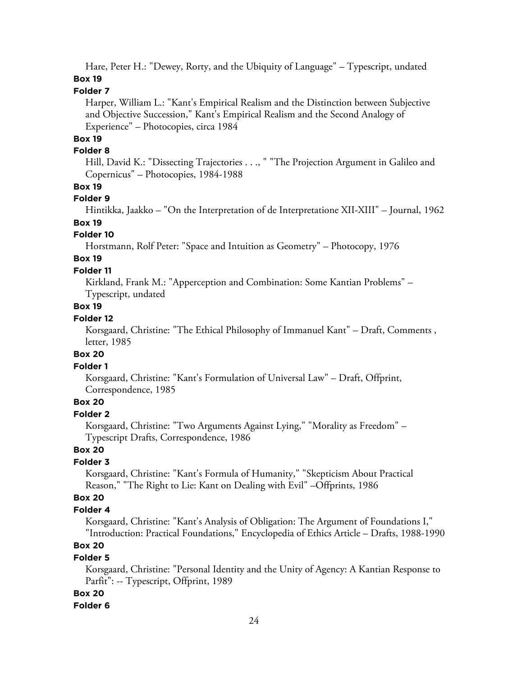Hare, Peter H.: "Dewey, Rorty, and the Ubiquity of Language" – Typescript, undated **Box 19**

#### **Folder 7**

Harper, William L.: "Kant's Empirical Realism and the Distinction between Subjective and Objective Succession," Kant's Empirical Realism and the Second Analogy of Experience" – Photocopies, circa 1984

#### **Box 19**

#### **Folder 8**

Hill, David K.: "Dissecting Trajectories . . ., " "The Projection Argument in Galileo and Copernicus" – Photocopies, 1984-1988

#### **Box 19**

#### **Folder 9**

Hintikka, Jaakko – "On the Interpretation of de Interpretatione XII-XIII" – Journal, 1962

# **Box 19**

### **Folder 10**

Horstmann, Rolf Peter: "Space and Intuition as Geometry" – Photocopy, 1976

# **Box 19**

#### **Folder 11**

Kirkland, Frank M.: "Apperception and Combination: Some Kantian Problems" – Typescript, undated

### **Box 19**

#### **Folder 12**

Korsgaard, Christine: "The Ethical Philosophy of Immanuel Kant" – Draft, Comments , letter, 1985

#### **Box 20**

#### **Folder 1**

Korsgaard, Christine: "Kant's Formulation of Universal Law" – Draft, Offprint, Correspondence, 1985

### **Box 20**

### **Folder 2**

Korsgaard, Christine: "Two Arguments Against Lying," "Morality as Freedom" – Typescript Drafts, Correspondence, 1986

# **Box 20**

### **Folder 3**

Korsgaard, Christine: "Kant's Formula of Humanity," "Skepticism About Practical Reason," "The Right to Lie: Kant on Dealing with Evil" –Offprints, 1986

### **Box 20**

#### **Folder 4**

Korsgaard, Christine: "Kant's Analysis of Obligation: The Argument of Foundations I," "Introduction: Practical Foundations," Encyclopedia of Ethics Article – Drafts, 1988-1990

# **Box 20**

#### **Folder 5**

Korsgaard, Christine: "Personal Identity and the Unity of Agency: A Kantian Response to Parfit": -- Typescript, Offprint, 1989

#### **Box 20**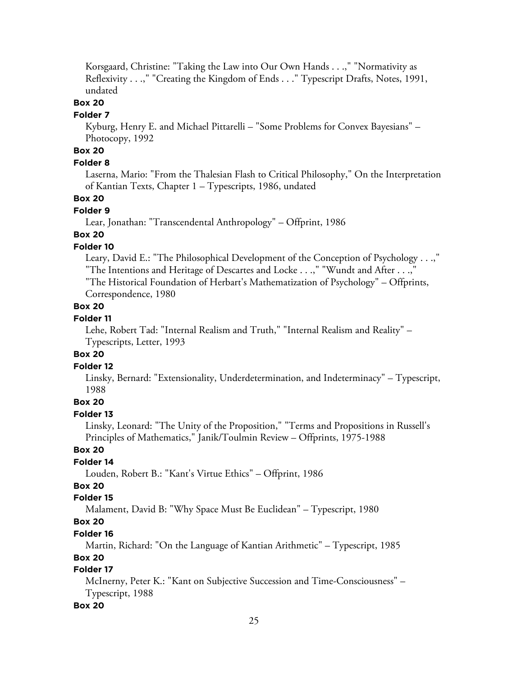Korsgaard, Christine: "Taking the Law into Our Own Hands . . .," "Normativity as Reflexivity . . .," "Creating the Kingdom of Ends . . ." Typescript Drafts, Notes, 1991, undated

### **Box 20**

#### **Folder 7**

Kyburg, Henry E. and Michael Pittarelli – "Some Problems for Convex Bayesians" – Photocopy, 1992

# **Box 20**

### **Folder 8**

Laserna, Mario: "From the Thalesian Flash to Critical Philosophy," On the Interpretation of Kantian Texts, Chapter 1 – Typescripts, 1986, undated

### **Box 20**

### **Folder 9**

Lear, Jonathan: "Transcendental Anthropology" – Offprint, 1986

### **Box 20**

### **Folder 10**

Leary, David E.: "The Philosophical Development of the Conception of Psychology . . .," "The Intentions and Heritage of Descartes and Locke . . .," "Wundt and After . . .," "The Historical Foundation of Herbart's Mathematization of Psychology" – Offprints,

Correspondence, 1980

### **Box 20**

### **Folder 11**

Lehe, Robert Tad: "Internal Realism and Truth," "Internal Realism and Reality" – Typescripts, Letter, 1993

#### **Box 20**

#### **Folder 12**

Linsky, Bernard: "Extensionality, Underdetermination, and Indeterminacy" – Typescript, 1988

### **Box 20**

#### **Folder 13**

Linsky, Leonard: "The Unity of the Proposition," "Terms and Propositions in Russell's Principles of Mathematics," Janik/Toulmin Review – Offprints, 1975-1988

### **Box 20**

#### **Folder 14**

Louden, Robert B.: "Kant's Virtue Ethics" – Offprint, 1986

### **Box 20**

### **Folder 15**

Malament, David B: "Why Space Must Be Euclidean" – Typescript, 1980

### **Box 20**

### **Folder 16**

Martin, Richard: "On the Language of Kantian Arithmetic" – Typescript, 1985

### **Box 20**

### **Folder 17**

McInerny, Peter K.: "Kant on Subjective Succession and Time-Consciousness" – Typescript, 1988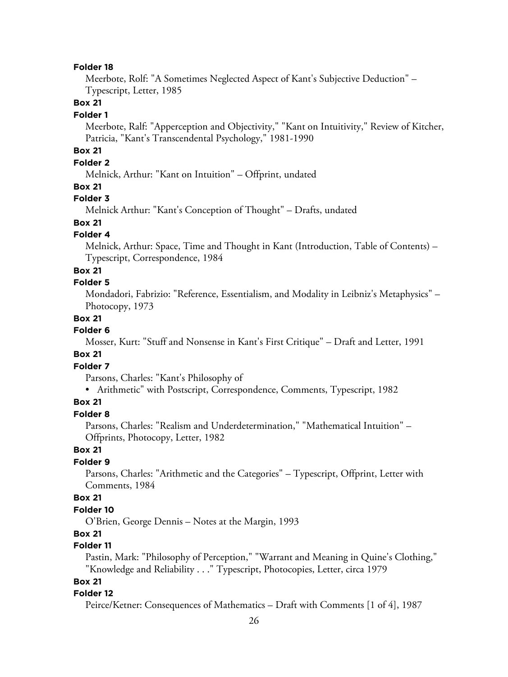Meerbote, Rolf: "A Sometimes Neglected Aspect of Kant's Subjective Deduction" – Typescript, Letter, 1985

### **Box 21**

#### **Folder 1**

Meerbote, Ralf: "Apperception and Objectivity," "Kant on Intuitivity," Review of Kitcher, Patricia, "Kant's Transcendental Psychology," 1981-1990

### **Box 21**

### **Folder 2**

Melnick, Arthur: "Kant on Intuition" – Offprint, undated

#### **Box 21**

#### **Folder 3**

Melnick Arthur: "Kant's Conception of Thought" – Drafts, undated

# **Box 21**

### **Folder 4**

Melnick, Arthur: Space, Time and Thought in Kant (Introduction, Table of Contents) – Typescript, Correspondence, 1984

### **Box 21**

#### **Folder 5**

Mondadori, Fabrizio: "Reference, Essentialism, and Modality in Leibniz's Metaphysics" – Photocopy, 1973

#### **Box 21**

#### **Folder 6**

Mosser, Kurt: "Stuff and Nonsense in Kant's First Critique" – Draft and Letter, 1991

#### **Box 21**

### **Folder 7**

Parsons, Charles: "Kant's Philosophy of

• Arithmetic" with Postscript, Correspondence, Comments, Typescript, 1982

#### **Box 21**

### **Folder 8**

Parsons, Charles: "Realism and Underdetermination," "Mathematical Intuition" – Offprints, Photocopy, Letter, 1982

#### **Box 21**

#### **Folder 9**

Parsons, Charles: "Arithmetic and the Categories" – Typescript, Offprint, Letter with Comments, 1984

### **Box 21**

### **Folder 10**

O'Brien, George Dennis – Notes at the Margin, 1993

### **Box 21**

### **Folder 11**

Pastin, Mark: "Philosophy of Perception," "Warrant and Meaning in Quine's Clothing," "Knowledge and Reliability . . ." Typescript, Photocopies, Letter, circa 1979

### **Box 21**

#### **Folder 12**

Peirce/Ketner: Consequences of Mathematics – Draft with Comments [1 of 4], 1987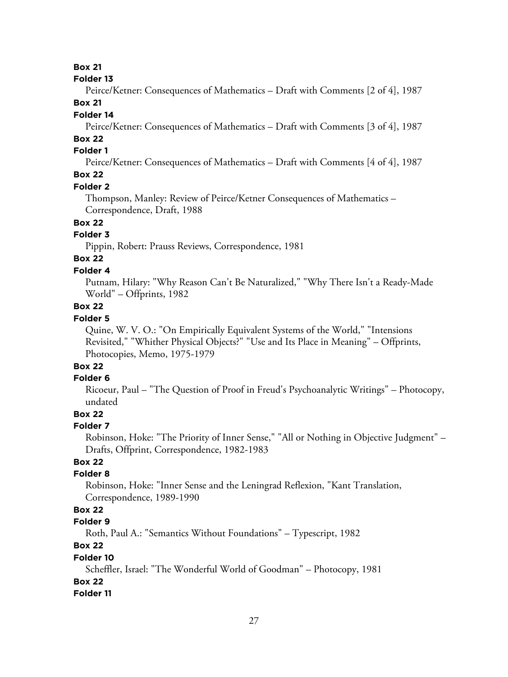#### **Folder 13**

Peirce/Ketner: Consequences of Mathematics – Draft with Comments [2 of 4], 1987

# **Box 21**

### **Folder 14**

Peirce/Ketner: Consequences of Mathematics – Draft with Comments [3 of 4], 1987

# **Box 22**

### **Folder 1**

Peirce/Ketner: Consequences of Mathematics – Draft with Comments [4 of 4], 1987

### **Box 22**

#### **Folder 2**

Thompson, Manley: Review of Peirce/Ketner Consequences of Mathematics – Correspondence, Draft, 1988

### **Box 22**

### **Folder 3**

Pippin, Robert: Prauss Reviews, Correspondence, 1981

# **Box 22**

# **Folder 4**

Putnam, Hilary: "Why Reason Can't Be Naturalized," "Why There Isn't a Ready-Made World" – Offprints, 1982

### **Box 22**

### **Folder 5**

Quine, W. V. O.: "On Empirically Equivalent Systems of the World," "Intensions Revisited," "Whither Physical Objects?" "Use and Its Place in Meaning" – Offprints, Photocopies, Memo, 1975-1979

# **Box 22**

### **Folder 6**

Ricoeur, Paul – "The Question of Proof in Freud's Psychoanalytic Writings" – Photocopy, undated

# **Box 22**

#### **Folder 7**

Robinson, Hoke: "The Priority of Inner Sense," "All or Nothing in Objective Judgment" – Drafts, Offprint, Correspondence, 1982-1983

### **Box 22**

### **Folder 8**

Robinson, Hoke: "Inner Sense and the Leningrad Reflexion, "Kant Translation, Correspondence, 1989-1990

### **Box 22**

### **Folder 9**

Roth, Paul A.: "Semantics Without Foundations" – Typescript, 1982

# **Box 22**

#### **Folder 10**

Scheffler, Israel: "The Wonderful World of Goodman" – Photocopy, 1981

### **Box 22**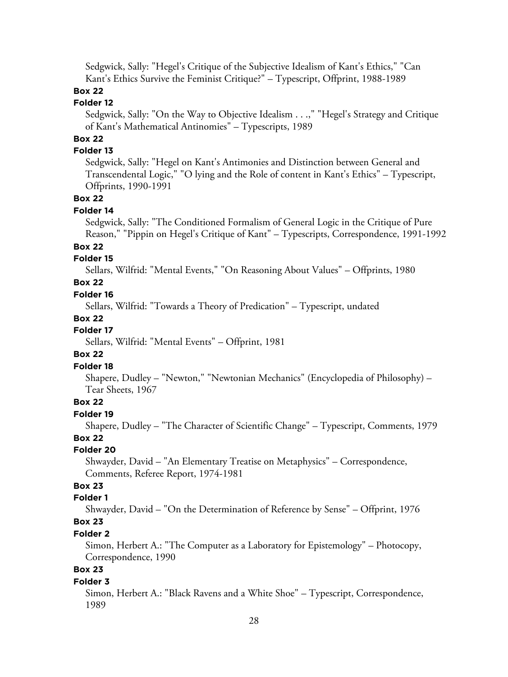Sedgwick, Sally: "Hegel's Critique of the Subjective Idealism of Kant's Ethics," "Can Kant's Ethics Survive the Feminist Critique?" – Typescript, Offprint, 1988-1989

### **Box 22**

### **Folder 12**

Sedgwick, Sally: "On the Way to Objective Idealism . . .," "Hegel's Strategy and Critique of Kant's Mathematical Antinomies" – Typescripts, 1989

# **Box 22**

### **Folder 13**

Sedgwick, Sally: "Hegel on Kant's Antimonies and Distinction between General and Transcendental Logic," "O lying and the Role of content in Kant's Ethics" – Typescript, Offprints, 1990-1991

### **Box 22**

### **Folder 14**

Sedgwick, Sally: "The Conditioned Formalism of General Logic in the Critique of Pure Reason," "Pippin on Hegel's Critique of Kant" – Typescripts, Correspondence, 1991-1992

### **Box 22**

#### **Folder 15**

Sellars, Wilfrid: "Mental Events," "On Reasoning About Values" – Offprints, 1980

### **Box 22**

#### **Folder 16**

Sellars, Wilfrid: "Towards a Theory of Predication" – Typescript, undated

#### **Box 22**

### **Folder 17**

Sellars, Wilfrid: "Mental Events" – Offprint, 1981

#### **Box 22**

#### **Folder 18**

Shapere, Dudley – "Newton," "Newtonian Mechanics" (Encyclopedia of Philosophy) – Tear Sheets, 1967

### **Box 22**

### **Folder 19**

Shapere, Dudley – "The Character of Scientific Change" – Typescript, Comments, 1979 **Box 22**

#### **Folder 20**

Shwayder, David – "An Elementary Treatise on Metaphysics" – Correspondence, Comments, Referee Report, 1974-1981

### **Box 23**

### **Folder 1**

Shwayder, David – "On the Determination of Reference by Sense" – Offprint, 1976

# **Box 23**

#### **Folder 2**

Simon, Herbert A.: "The Computer as a Laboratory for Epistemology" – Photocopy, Correspondence, 1990

### **Box 23**

#### **Folder 3**

Simon, Herbert A.: "Black Ravens and a White Shoe" – Typescript, Correspondence, 1989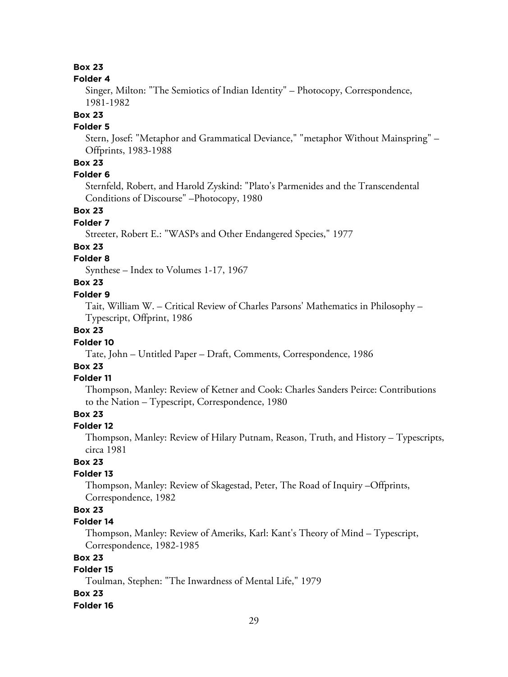#### **Folder 4**

Singer, Milton: "The Semiotics of Indian Identity" – Photocopy, Correspondence, 1981-1982

### **Box 23**

### **Folder 5**

Stern, Josef: "Metaphor and Grammatical Deviance," "metaphor Without Mainspring" – Offprints, 1983-1988

### **Box 23**

### **Folder 6**

Sternfeld, Robert, and Harold Zyskind: "Plato's Parmenides and the Transcendental Conditions of Discourse" –Photocopy, 1980

### **Box 23**

### **Folder 7**

Streeter, Robert E.: "WASPs and Other Endangered Species," 1977

#### **Box 23**

### **Folder 8**

Synthese – Index to Volumes 1-17, 1967

### **Box 23**

#### **Folder 9**

Tait, William W. – Critical Review of Charles Parsons' Mathematics in Philosophy – Typescript, Offprint, 1986

### **Box 23**

### **Folder 10**

Tate, John – Untitled Paper – Draft, Comments, Correspondence, 1986

# **Box 23**

### **Folder 11**

Thompson, Manley: Review of Ketner and Cook: Charles Sanders Peirce: Contributions to the Nation – Typescript, Correspondence, 1980

### **Box 23**

#### **Folder 12**

Thompson, Manley: Review of Hilary Putnam, Reason, Truth, and History – Typescripts, circa 1981

### **Box 23**

#### **Folder 13**

Thompson, Manley: Review of Skagestad, Peter, The Road of Inquiry –Offprints, Correspondence, 1982

### **Box 23**

### **Folder 14**

Thompson, Manley: Review of Ameriks, Karl: Kant's Theory of Mind – Typescript, Correspondence, 1982-1985

### **Box 23**

### **Folder 15**

Toulman, Stephen: "The Inwardness of Mental Life," 1979

#### **Box 23**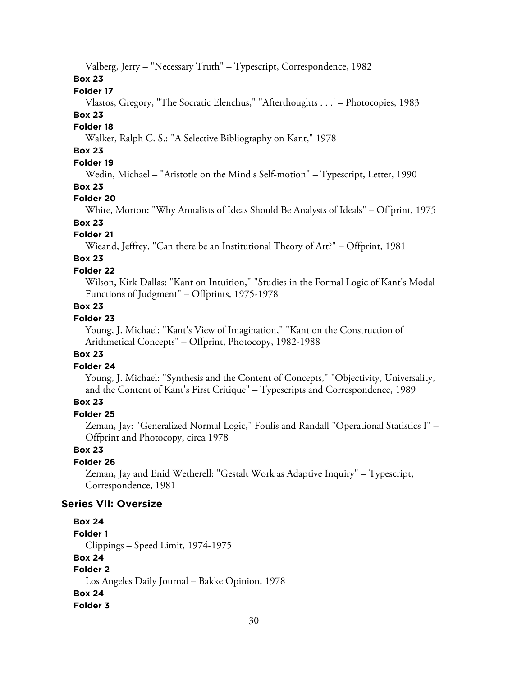Valberg, Jerry – "Necessary Truth" – Typescript, Correspondence, 1982

**Box 23**

#### **Folder 17**

Vlastos, Gregory, "The Socratic Elenchus," "Afterthoughts . . .' – Photocopies, 1983

# **Box 23**

### **Folder 18**

Walker, Ralph C. S.: "A Selective Bibliography on Kant," 1978

# **Box 23**

# **Folder 19**

Wedin, Michael – "Aristotle on the Mind's Self-motion" – Typescript, Letter, 1990

#### **Box 23**

#### **Folder 20**

White, Morton: "Why Annalists of Ideas Should Be Analysts of Ideals" – Offprint, 1975

# **Box 23**

### **Folder 21**

Wieand, Jeffrey, "Can there be an Institutional Theory of Art?" – Offprint, 1981

# **Box 23**

#### **Folder 22**

Wilson, Kirk Dallas: "Kant on Intuition," "Studies in the Formal Logic of Kant's Modal Functions of Judgment" – Offprints, 1975-1978

### **Box 23**

### **Folder 23**

Young, J. Michael: "Kant's View of Imagination," "Kant on the Construction of Arithmetical Concepts" – Offprint, Photocopy, 1982-1988

#### **Box 23**

#### **Folder 24**

Young, J. Michael: "Synthesis and the Content of Concepts," "Objectivity, Universality, and the Content of Kant's First Critique" – Typescripts and Correspondence, 1989

### **Box 23**

### **Folder 25**

Zeman, Jay: "Generalized Normal Logic," Foulis and Randall "Operational Statistics I" – Offprint and Photocopy, circa 1978

### **Box 23**

### **Folder 26**

Zeman, Jay and Enid Wetherell: "Gestalt Work as Adaptive Inquiry" – Typescript, Correspondence, 1981

### **Series VII: Oversize**

# **Box 24**

**Folder 1**

Clippings – Speed Limit, 1974-1975

#### **Box 24**

# **Folder 2**

Los Angeles Daily Journal – Bakke Opinion, 1978

#### **Box 24**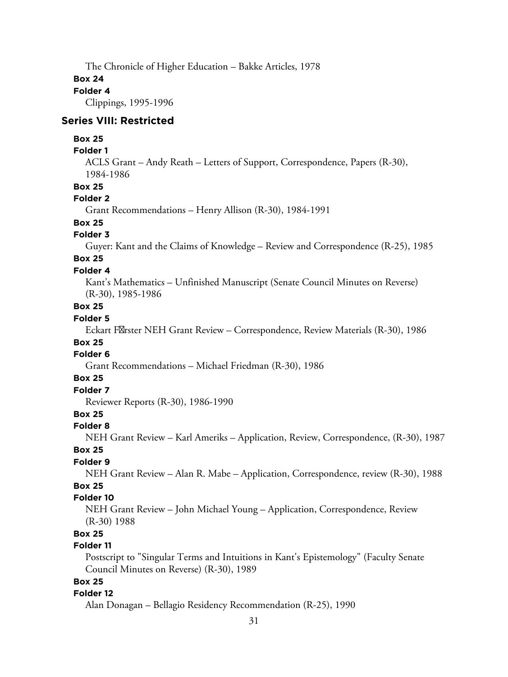The Chronicle of Higher Education – Bakke Articles, 1978

#### **Box 24**

#### **Folder 4**

Clippings, 1995-1996

#### **Series VIII: Restricted**

#### **Box 25**

#### **Folder 1**

ACLS Grant – Andy Reath – Letters of Support, Correspondence, Papers (R-30), 1984-1986

#### **Box 25**

### **Folder 2**

Grant Recommendations – Henry Allison (R-30), 1984-1991

### **Box 25**

### **Folder 3**

Guyer: Kant and the Claims of Knowledge – Review and Correspondence (R-25), 1985

#### **Box 25 Folder 4**

Kant's Mathematics – Unfinished Manuscript (Senate Council Minutes on Reverse) (R-30), 1985-1986

#### **Box 25**

### **Folder 5**

Eckart F&rster NEH Grant Review – Correspondence, Review Materials (R-30), 1986

# **Box 25**

# **Folder 6**

Grant Recommendations – Michael Friedman (R-30), 1986

#### **Box 25**

### **Folder 7**

Reviewer Reports (R-30), 1986-1990

### **Box 25**

#### **Folder 8**

NEH Grant Review – Karl Ameriks – Application, Review, Correspondence, (R-30), 1987 **Box 25**

# **Folder 9**

NEH Grant Review – Alan R. Mabe – Application, Correspondence, review (R-30), 1988

# **Box 25**

### **Folder 10**

NEH Grant Review – John Michael Young – Application, Correspondence, Review (R-30) 1988

# **Box 25**

### **Folder 11**

Postscript to "Singular Terms and Intuitions in Kant's Epistemology" (Faculty Senate Council Minutes on Reverse) (R-30), 1989

### **Box 25**

#### **Folder 12**

Alan Donagan – Bellagio Residency Recommendation (R-25), 1990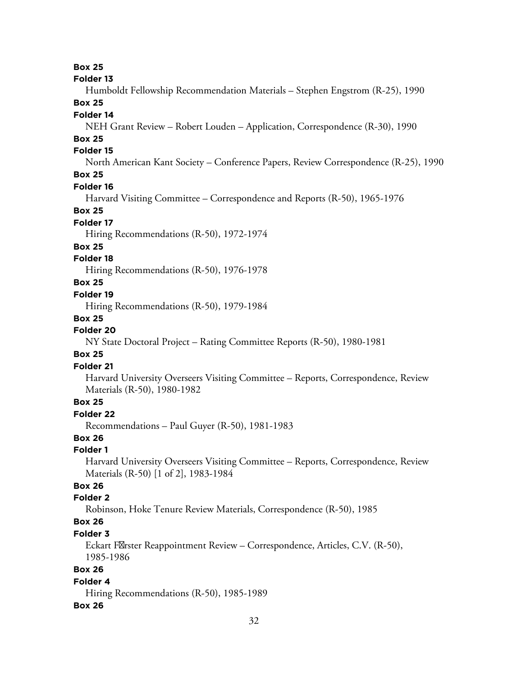#### **Folder 13**

Humboldt Fellowship Recommendation Materials – Stephen Engstrom (R-25), 1990

# **Box 25**

### **Folder 14**

NEH Grant Review – Robert Louden – Application, Correspondence (R-30), 1990

### **Box 25**

### **Folder 15**

North American Kant Society – Conference Papers, Review Correspondence (R-25), 1990

# **Box 25**

#### **Folder 16**

Harvard Visiting Committee – Correspondence and Reports (R-50), 1965-1976

#### **Box 25**

#### **Folder 17**

Hiring Recommendations (R-50), 1972-1974

#### **Box 25**

### **Folder 18**

Hiring Recommendations (R-50), 1976-1978

### **Box 25**

#### **Folder 19**

Hiring Recommendations (R-50), 1979-1984

### **Box 25**

### **Folder 20**

NY State Doctoral Project – Rating Committee Reports (R-50), 1980-1981

#### **Box 25**

### **Folder 21**

Harvard University Overseers Visiting Committee – Reports, Correspondence, Review Materials (R-50), 1980-1982

### **Box 25**

### **Folder 22**

Recommendations – Paul Guyer (R-50), 1981-1983

### **Box 26**

### **Folder 1**

Harvard University Overseers Visiting Committee – Reports, Correspondence, Review Materials (R-50) [1 of 2], 1983-1984

### **Box 26**

### **Folder 2**

Robinson, Hoke Tenure Review Materials, Correspondence (R-50), 1985

# **Box 26**

### **Folder 3**

Eckart F $\mathbb X$ rster Reappointment Review – Correspondence, Articles, C.V. (R-50), 1985-1986

### **Box 26**

### **Folder 4**

Hiring Recommendations (R-50), 1985-1989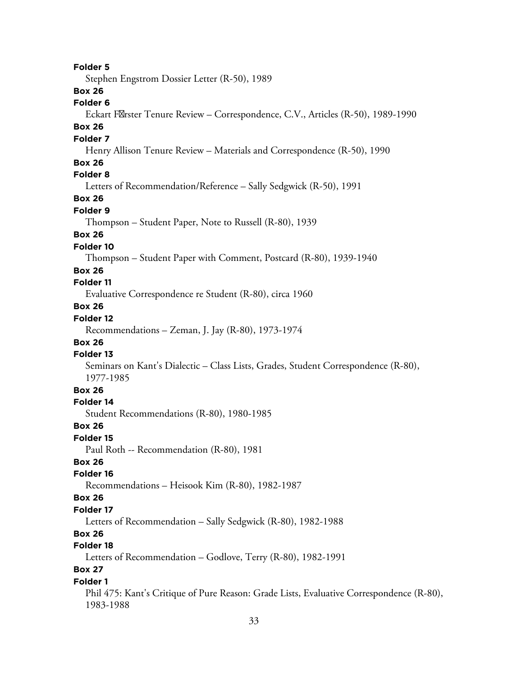**Folder 5** Stephen Engstrom Dossier Letter (R-50), 1989 **Box 26 Folder 6** Eckart F&rster Tenure Review – Correspondence, C.V., Articles (R-50), 1989-1990 **Box 26 Folder 7** Henry Allison Tenure Review – Materials and Correspondence (R-50), 1990 **Box 26 Folder 8** Letters of Recommendation/Reference – Sally Sedgwick (R-50), 1991 **Box 26 Folder 9** Thompson – Student Paper, Note to Russell (R-80), 1939 **Box 26 Folder 10** Thompson – Student Paper with Comment, Postcard (R-80), 1939-1940 **Box 26 Folder 11** Evaluative Correspondence re Student (R-80), circa 1960 **Box 26 Folder 12** Recommendations – Zeman, J. Jay (R-80), 1973-1974 **Box 26 Folder 13** Seminars on Kant's Dialectic – Class Lists, Grades, Student Correspondence (R-80), 1977-1985 **Box 26 Folder 14** Student Recommendations (R-80), 1980-1985 **Box 26 Folder 15** Paul Roth -- Recommendation (R-80), 1981 **Box 26 Folder 16** Recommendations – Heisook Kim (R-80), 1982-1987 **Box 26 Folder 17** Letters of Recommendation – Sally Sedgwick (R-80), 1982-1988 **Box 26 Folder 18** Letters of Recommendation – Godlove, Terry (R-80), 1982-1991 **Box 27 Folder 1** Phil 475: Kant's Critique of Pure Reason: Grade Lists, Evaluative Correspondence (R-80), 1983-1988